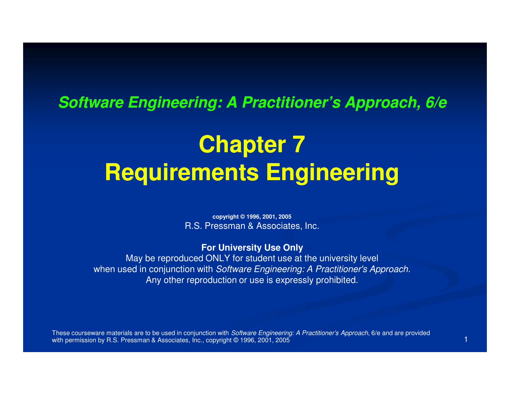#### **Software Engineering: A Practitioner's Approach, 6/e**

# **Chapter 7Requirements Engineering**

**copyright © 1996, 2001, 2005**R.S. Pressman & Associates, Inc.

#### **For University Use Only**

 May be reproduced ONLY for student use at the university levelwhen used in conjunction with Software Engineering: A Practitioner's Approach. Any other reproduction or use is expressly prohibited.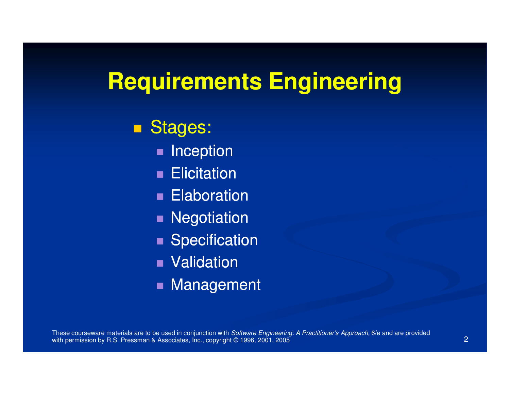■ Stages:

- $\blacksquare$  Inception
- $\blacksquare$  Elicitation
- Elaboration
- **Negotiation**
- **Specification**
- Validation
- Management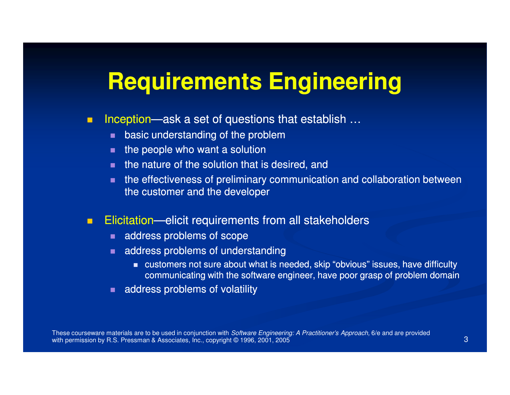- $\blacksquare$ Inception—ask a set of questions that establish  $\dots$ <br>Inception—ask a set of questions that establish  $\dots$ 
	- **basic understanding of the problem** п
	- **the people who want a solution**
	- $\blacksquare$  the nature of the solution that is desired, and
	- $\blacksquare$  the effectiveness of preliminary communication and collaboration between the customer and the developer
- п **Elicitation—elicit requirements from all stakeholders** 
	- address problems of scope
	- address problems of understanding п
		- customers not sure about what is needed, skip "obvious" issues, have difficulty communicating with the software engineer, have poor grasp of problem domain
	- п address problems of volatility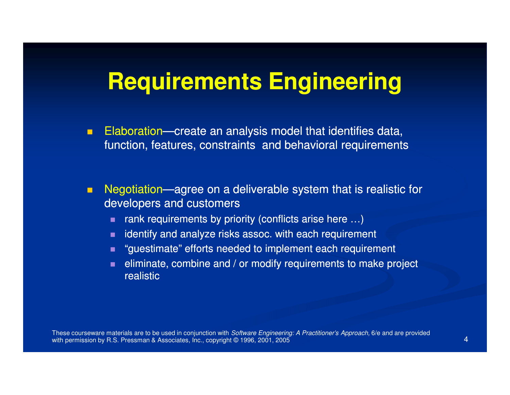- $\blacksquare$ **Elaboration—create an analysis model that identifies data,** function, features, constraints and behavioral requirements
- $\blacksquare$ **Negotiation—agree on a deliverable system that is realistic for**  developers and customers
	- п rank requirements by priority (conflicts arise here …)
	- $\blacksquare$ identify and analyze risks assoc. with each requirement
	- $\blacksquare$ "guestimate" efforts needed to implement each requirement
	- $\blacksquare$  eliminate, combine and / or modify requirements to make project realistic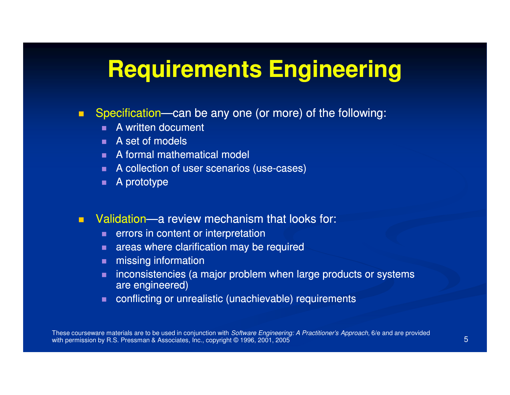- $\blacksquare$ **Specification—can be any one (or more) of the following:** 
	- A written document .
	- A set of models
	- A formal mathematical model
	- $\blacksquare$  A collection of user scenarios (use-cases)
	- $\blacksquare$ A prototype
- $\blacksquare$  $\blacksquare$  Validation—a review mechanism that looks for:
	- $\blacksquare$  errors in content or interpretation  $\blacksquare$
	- $\blacksquare$  areas where clarification may be required
	- **n** missing information
	- **n** inconsistencies (a major problem when large products or systems are engineered)
	- conflicting or unrealistic (unachievable) requirements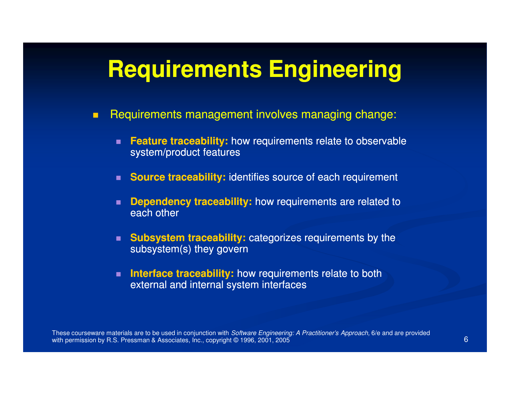- $\blacksquare$  Requirements management involves managing change:
	- $\blacksquare$  **Feature traceability:** how requirements relate to observable system/product features
	- Source traceability: identifies source of each requirement
	- **Dependency traceability:** how requirements are related to  $\blacksquare$ each other
	- **Subsystem traceability:** categorizes requirements by the subsystem(s) they govern
	- $\blacksquare$ **Interface traceability:** how requirements relate to both external and internal system interfaces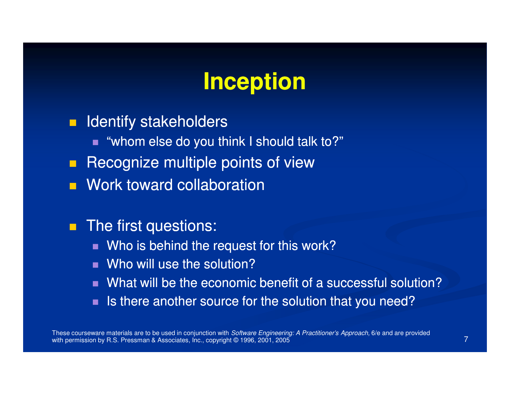#### **Inception**

- **E** Identify stakeholders  $\blacksquare$  "whom else do you think I should talk to?"  $\blacksquare$  Recognize multiple points of viewWork toward collaboration
- $\blacksquare$  The first questions:
	- Who is behind the request for this work?
	- Who will use the solution?
	- What will be the economic benefit of a successful solution?
	- Is there another source for the solution that you need?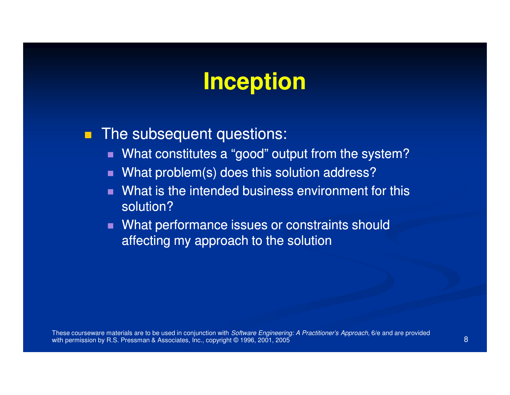### **Inception**

#### ■ The subsequent questions:

- What constitutes a "good" output from the system?
- $\blacksquare$ What problem(s) does this solution address?
- What is the intended business environment for this solution?
- **Nhat performance issues or constraints should**  $\blacksquare$ affecting my approach to the solution

These courseware materials are to be used in conjunction with *Software Engineering: A Practitioner's Approach,* 6/e and are provided with permission by R.S. Pressman & Associates, Inc., copyright © 1996, 2001, 2005 5 and 2014 and 2014 and 2014 and 2014 and 2014 and 2014 and 2014 and 2014 and 2014 and 2014 and 2014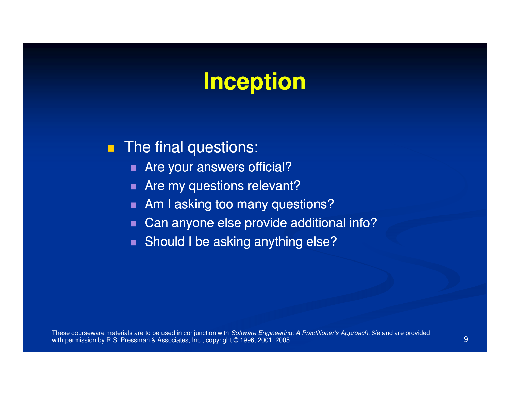### **Inception**

#### $\blacksquare$ The final questions:

- Are your answers official?
- Are my questions relevant?
- Am I asking too many questions? $\blacksquare$
- Can anyone else provide additional info?
- Should I be asking anything else?

These courseware materials are to be used in conjunction with *Software Engineering: A Practitioner's Approach,* 6/e and are provided with permission by R.S. Pressman & Associates, Inc., copyright © 1996, 2001, 2005 5 (1988) - 1990 - 1990 - 1990 - 1990 - 1990 - 1990 - 1990 - 1990 - 1990 - 1990 - 1990 - 1990 - 1990 - 1990 - 1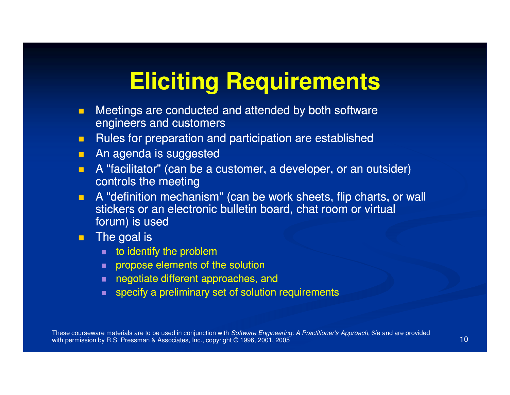# **Eliciting Requirements**

- $\blacksquare$  Meetings are conducted and attended by both software engineers and customers
- **Rules for preparation and participation are established**  $\blacksquare$
- Ō. An agenda is suggested
- $\blacksquare$  A "facilitator" (can be a customer, a developer, or an outsider) controls the meeting
- **A** "definition mechanism" (can be work sheets, flip charts, or wall  $\blacksquare$ stickers or an electronic bulletin board, chat room or virtual forum) is used
- $\blacksquare$  The goal is
	- to identify the problem
	- propose elements of the solution
	- **negotiate different approaches, and**
	- specify a preliminary set of solution requirements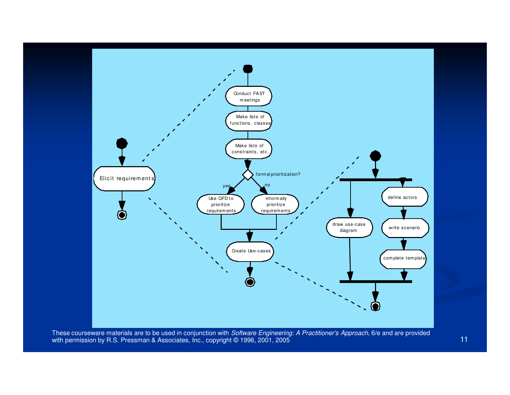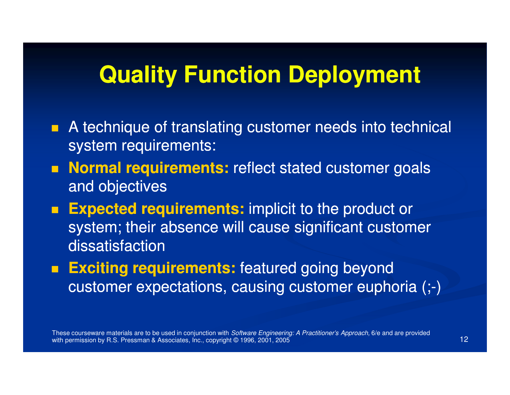#### **Quality Function Deployment**

- $\blacksquare$  A technique of translating customer needs into technical system requirements:
- $\blacksquare$  **Normal requirements:** reflect stated customer goals and objectives
- $\blacksquare$  **Expected requirements:** implicit to the product or system; their absence will cause significant customer dissatisfaction
- **Exciting requirements:** featured going beyond customer expectations, causing customer euphoria (;-)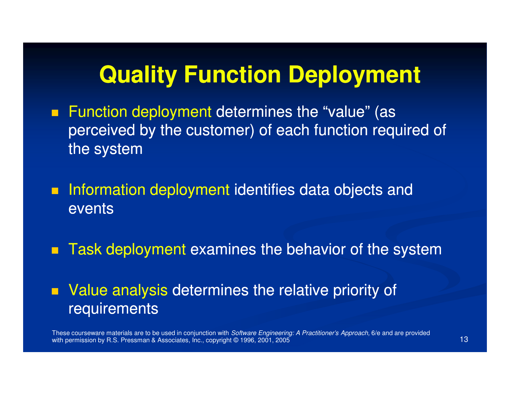#### **Quality Function Deployment**

- $\blacksquare$  Function deployment determines the "value" (as perceived by the customer) of each function required of the system
- $\blacksquare$ Information deployment identifies data objects and events
- **Task deployment examines the behavior of the system**
- $\blacksquare$  Value analysis determines the relative priority of requirements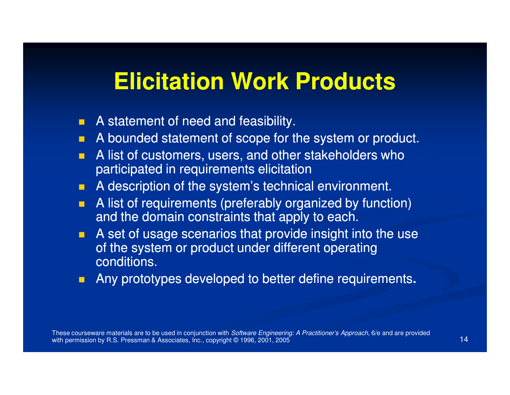#### **Elicitation Work Products**

- $\blacksquare$ A statement of need and feasibility.
- **D** A bounded statement of scope for the system or product.
- $\blacksquare$  A list of customers, users, and other stakeholders who participated in requirements elicitation
- A description of the system's technical environment.
- A list of requirements (preferably organized by function)  $\blacksquare$ and the domain constraints that apply to each.
- $\blacksquare$  A set of usage scenarios that provide insight into the use of the system or product under different operating conditions.
- **Any prototypes developed to better define requirements.**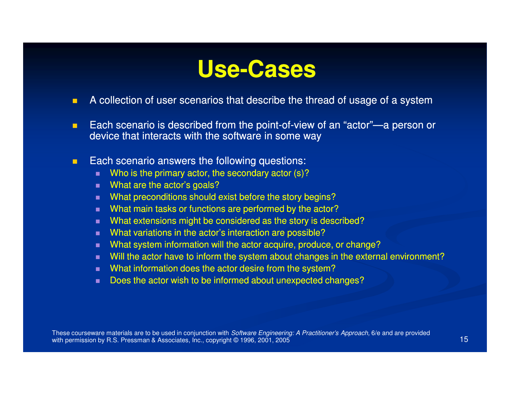#### **Use-Cases**

- $\Box$ A collection of user scenarios that describe the thread of usage of a system
- $\blacksquare$ **Each scenario is described from the point-of-view of an "actor"—a person or an** device that interacts with the software in some way device that interacts with the software in some way
- $\blacksquare$  Each scenario answers the following questions:
	- n. Who is the primary actor, the secondary actor (s)?
	- п What are the actor's goals?
	- What preconditions should exist before the story begins?п.
	- What main tasks or functions are performed by the actor?п.
	- What extensions might be considered as the story is described?п.
	- . What variations in the actor's interaction are possible?
	- What system information will the actor acquire, produce, or change? $\blacksquare$
	- Will the actor have to inform the system about changes in the external environment?п.
	- $\blacksquare$ What information does the actor desire from the system?
	- Does the actor wish to be informed about unexpected changes? п.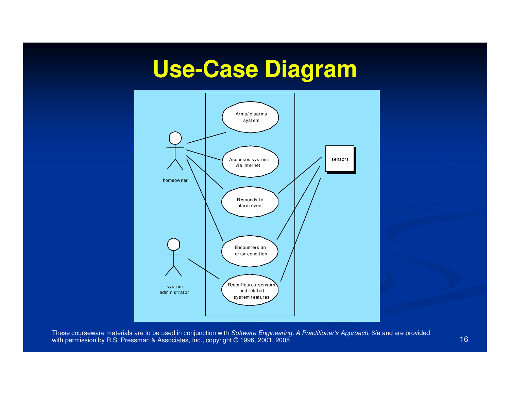# **Use-Case Diagram Case**

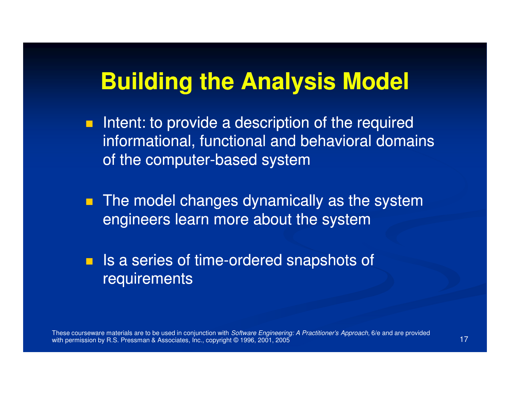#### **Building the Analysis Model**

- **nd Intent: to provide a description of the required** informational, functional and behavioral domains of the computer-based system
- $\blacksquare$  The model changes dynamically as the system engineers learn more about the system

 $\blacksquare$  Is a series of time-ordered snapshots of requirements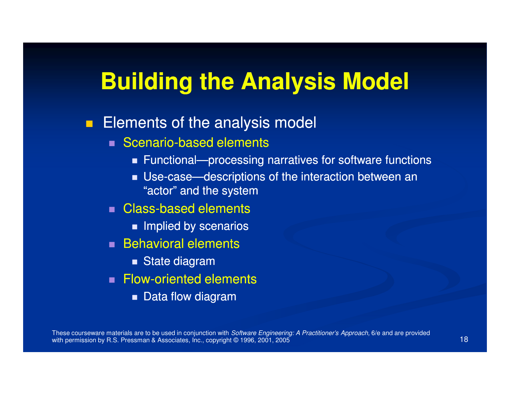### **Building the Analysis Model**

#### **Elements of the analysis model**

- $\blacksquare$  Scenario-based elements
	- Functional—processing narratives for software functions
	- Use-case—descriptions of the interaction between an "actor" and the system
- $\blacksquare$  Class-based elements
	- **Implied by scenarios**
- $\blacksquare$  Behavioral elements
	- State diagram
- $\blacksquare$  Flow-oriented elements
	- Data flow diagram

These courseware materials are to be used in conjunction with *Software Engineering: A Practitioner's Approach,* 6/e and are provided with permission by R.S. Pressman & Associates, Inc., copyright © 1996, 2001, 2005 $5$  (18)  $\frac{1}{2}$  (18)  $\frac{1}{2}$  (18)  $\frac{1}{2}$  (18)  $\frac{1}{2}$  (18)  $\frac{1}{2}$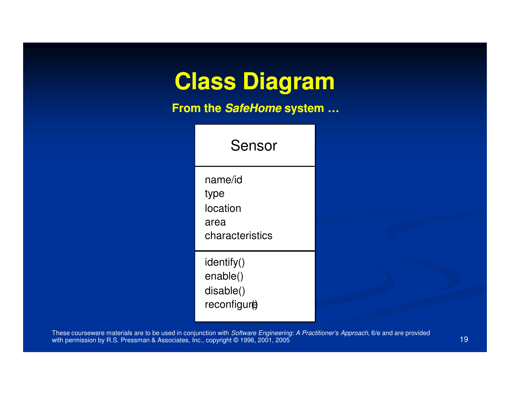### **Class Diagram**

**From the SafeHome system …**

| Sensor                                                     |
|------------------------------------------------------------|
| name/id<br>type<br>location<br>area<br>characteristics     |
| identify()<br>enable()<br>disable()<br>reconfigur <b>e</b> |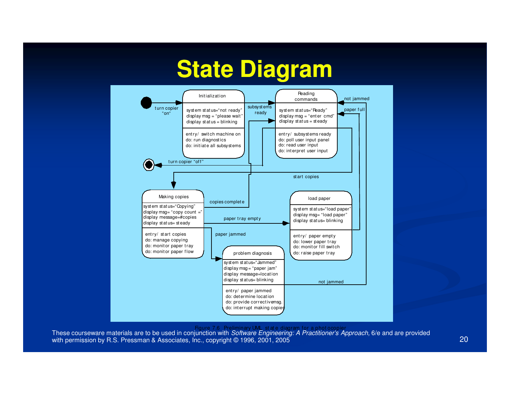#### **State Diagram**



Figure 7.6 Preliminary UML state diagram for a photocopier<br>These courseware materials are to be used in conjunction with *Software Engineering: A Practitioner's Approach,* 6/e and are provided with permission by R.S. Pressman & Associates, Inc., copyright © 1996, 2001, 2005  $5$  20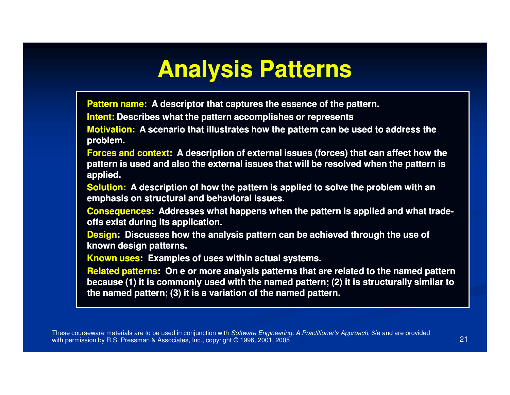### **Analysis Patterns**

**Pattern name: A descriptor that captures the essence of the pattern.** 

**Intent: Describes what the pattern accomplishes or represents** 

**Motivation: A scenario that illustrates how the pattern can be used to address the problem.**

**Forces and context: A description of external issues (forces) that can affect how the pattern is used and also the external issues that will be resolved when the pattern is applied.** 

**Solution: A description of how the pattern is applied to solve the problem with an emphasis on structural and behavioral issues.**

**Consequences: Addresses what happens when the pattern is applied and what trade ed tradeoffs exist during its application.**

**Design: Discusses how the analysis pattern can be achieved through the use of known design patterns.**

**Known uses: Examples of uses within actual systems.**

**Related patterns: On e or more analysis patterns that are related to the named pattern because (1) it is commonly used with the named pattern; (2) it is structurally similar to the named pattern; (3) it is a variation of the named pattern.**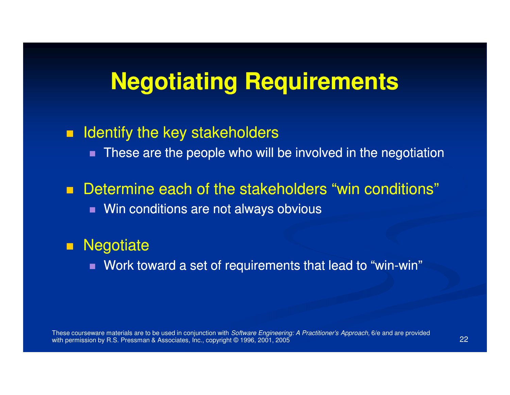#### **Negotiating Requirements**

#### $\blacksquare$ Identify the key stakeholders

- These are the people who will be involved in the negotiation
- $\blacksquare$  Determine each of the stakeholders "win conditions" ■ Win conditions are not always obvious

#### $\blacksquare$ **Negotiate**

Work toward a set of requirements that lead to "win-win"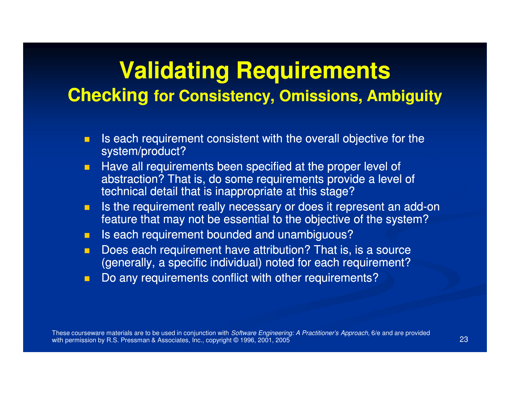#### **Validating RequirementsChecking for Consistency, Omissions, Ambiguity**

- П Is each requirement consistent with the overall objective for the system/product?
- $\blacksquare$  Have all requirements been specified at the proper level of  $\blacksquare$ abstraction? That is, do some requirements provide a level of technical detail that is inappropriate at this stage?
- Is the requirement really necessary or does it represent an add-on  $\blacksquare$ feature that may not be essential to the objective of the system?
- $\blacksquare$ Is each requirement bounded and unambiguous?
- Does each requirement have attribution? That is, is a source  $\blacksquare$ (generally, a specific individual) noted for each requirement?
- $\Box$ Do any requirements conflict with other requirements?